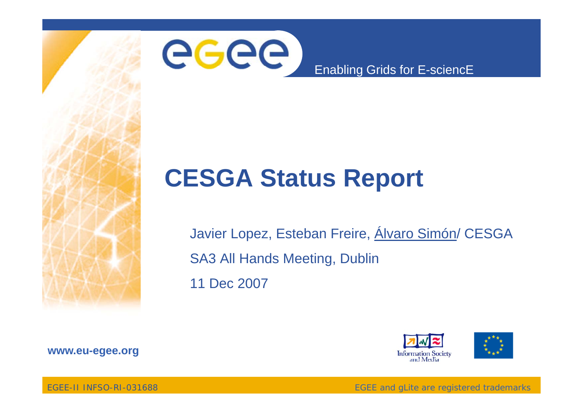

# **CESGA Status Report**

Javier Lopez, Esteban Freire, Álvaro Simón/ CESGA SA3 All Hands Meeting, Dublin 11 Dec 2007





**www.eu-egee.org**

EGEE-II INFSO-RI-031688

EGEE and gLite are registered trademarks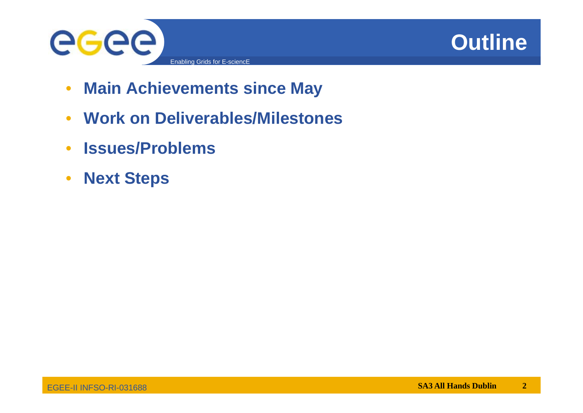



- •**Main Achievements since May**
- $\bullet$ **W k D li bl /Mil t Work on Deliverables/Milestones**
- •**Issues/Problems**
- $\bullet$ **Next Steps**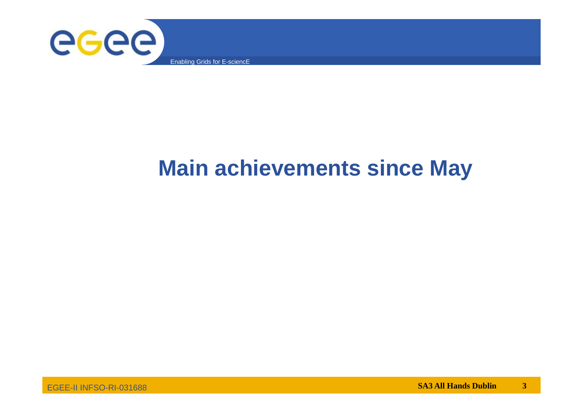

### **Main achievements since May**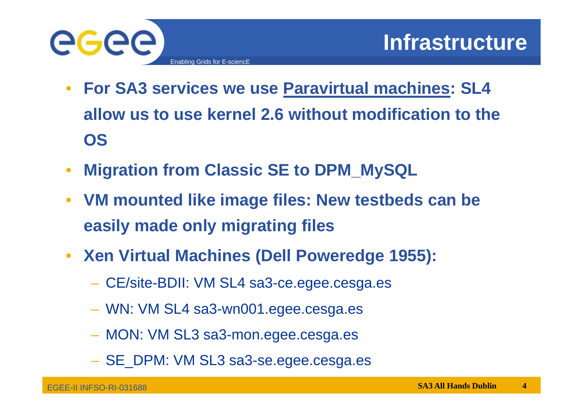

- $\bullet$  **For SA3 services we use Paravirtual machines: SL4**  allow us to use kernel 2.6 without modification to the **OS**
- •**Migration from Classic SE to DPM\_MySQL**
- $\bullet$  **VM mounted like image files: New testbeds can be easily made only migrating files**
- $\bullet$  **Xen** Virtual Machines (Dell Poweredge 1955):
	- CE/site-BDII: VM SL4 sa3-ce.egee.cesga.es
	- WN: VM SL4 sa3-wn001.egee.cesga.es
	- MON: VM SL3 sa3-mon.egee.cesga.es
	- SE\_DPM: VM SL3 sa3-se.egee.cesga.es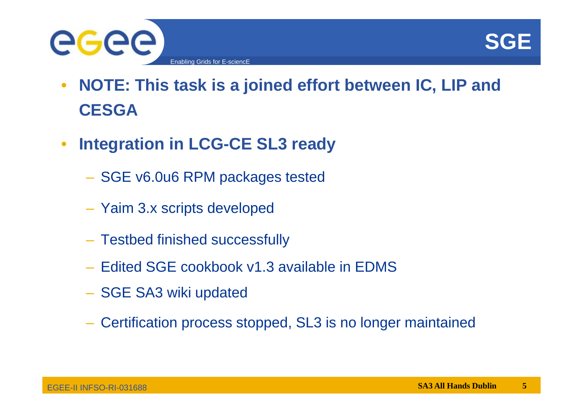

- $\bullet$  **NOTE: This task is a joined effort between IC, LIP and CESGA**
- $\bullet$  **Integration in LCG-CE SL3 ready**
	- SGE v6.0u6 RPM packages tested
	- Yaim 3.x scripts developed
	- Testbed finished successfully
	- Edited SGE cookbook v1.3 available in EDMS
	- SGE SA3 wiki updated
	- Certification process stopped, SL3 is no longer maintained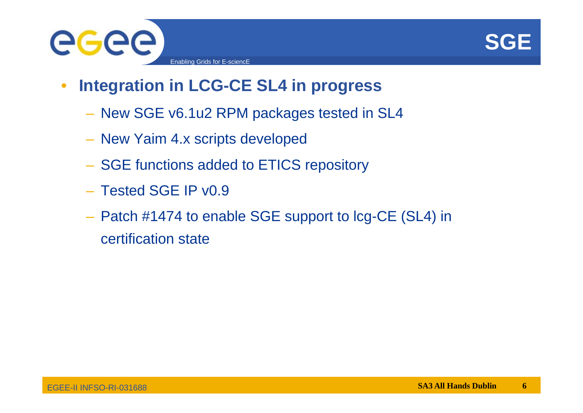



- $\bullet$  **Integration in LCG-CE SL4 in progress**
	- $-$  New SGE v6.1u2 RPM packages tested in SL4
	- New Yaim 4.x scripts developed
	- SGE functions added to ETICS repository
	- Tested SGE IP v0.9
	- Patch #1474 to enable SGE support to lcg-CE (SL4) in certification state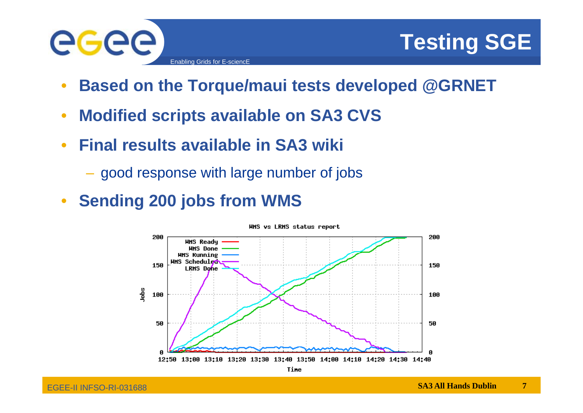

- $\bullet$ **Based on the Torque/maui tests developed @GRNET**
- $\bullet$ **Modified scripts available on SA3 CVS**
- $\bullet$  **Final results available in SA3 wiki**
	- good response with large number of jobs
- $\bullet$ **Sending 200 jobs from WMS from**

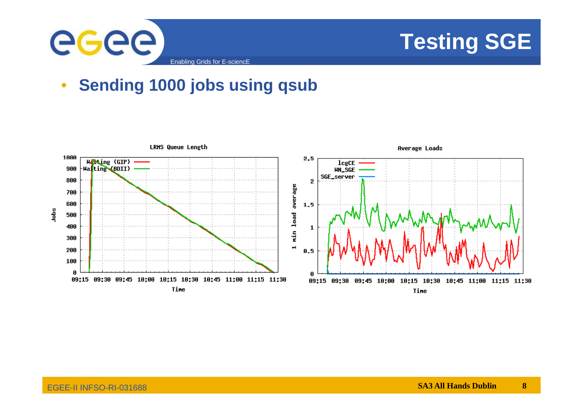

## **Testing SGE**

#### $\bullet$ **Sending 1000 jobs using qsub**

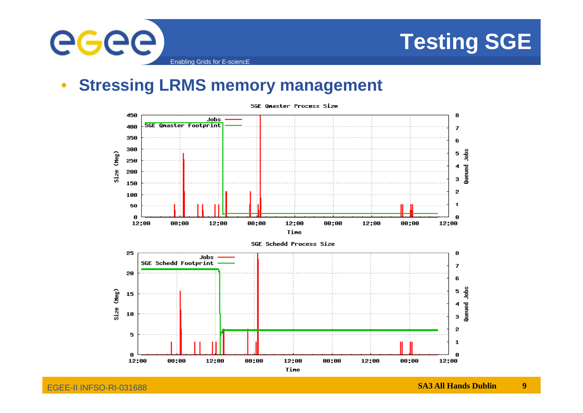

### **Testing SGE**

#### $\bullet$ **Stressing LRMS memory management**



SGE Qmaster Process Size

EGEE-II INFSO-RI-031688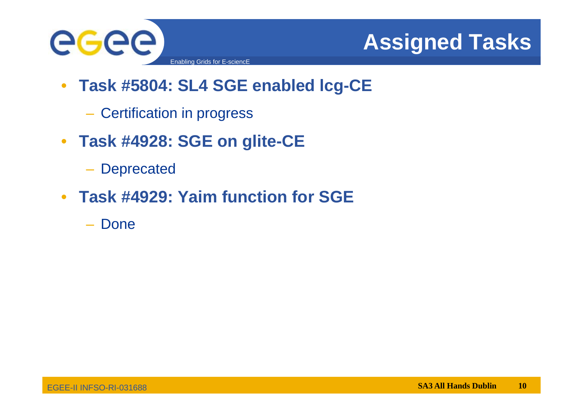

### **Assigned Tasks**

- **Task #5804: SL4 SGE enabled lcg-CE**
	- Certification in progress
- **Task #4928: SGE on glite-CE**
	- Deprecated
- $\bullet$  **Task #4929: Yaim function for SGE**
	- Done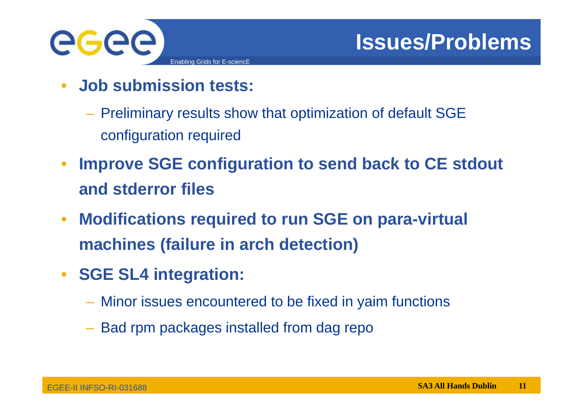

### **Issues/Problems**

- $\bullet$  **Job submission tests:**
	- Preliminary results show that optimization of default SGE configuration required
- $\bullet$ **Improve SGE configuration to send back to CE stdout and stderror files**
- $\bullet$  **Modifications required to run SGE on para-virtual machines ( ) failure in arch detection)**
- $\bullet$  **SGE SL4 integration:**
	- Minor issues encountered to be fixed in yaim functions
	- Bad rpm packages installed from dag repo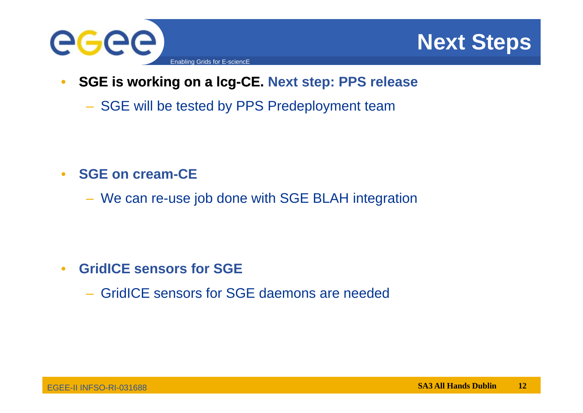



- $\bullet$ **SGE is working on a lcg-CE. Next step: PPS release** 
	- SGE will be tested by PPS Predeployment team

- • **SGE on cream-CE**
	- We can re-use job done with SGE BLAH integration

- • **GridICE sensors for SGE**
	- GridICE sensors for SGE daemons are needed